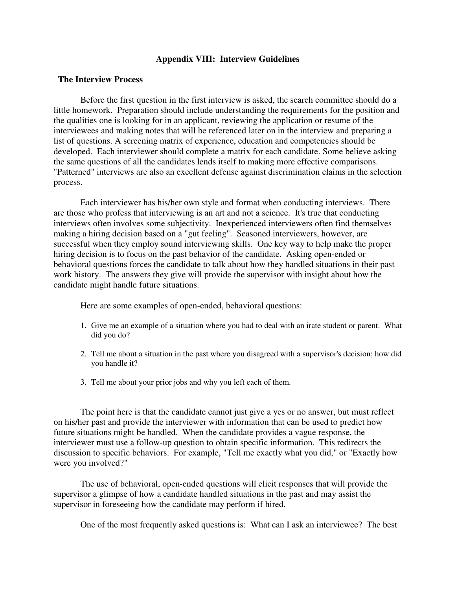### **Appendix VIII: Interview Guidelines**

### **The Interview Process**

Before the first question in the first interview is asked, the search committee should do a little homework. Preparation should include understanding the requirements for the position and the qualities one is looking for in an applicant, reviewing the application or resume of the interviewees and making notes that will be referenced later on in the interview and preparing a list of questions. A screening matrix of experience, education and competencies should be developed. Each interviewer should complete a matrix for each candidate. Some believe asking the same questions of all the candidates lends itself to making more effective comparisons. "Patterned" interviews are also an excellent defense against discrimination claims in the selection process.

Each interviewer has his/her own style and format when conducting interviews. There are those who profess that interviewing is an art and not a science. It's true that conducting interviews often involves some subjectivity. Inexperienced interviewers often find themselves making a hiring decision based on a "gut feeling". Seasoned interviewers, however, are successful when they employ sound interviewing skills. One key way to help make the proper hiring decision is to focus on the past behavior of the candidate. Asking open-ended or behavioral questions forces the candidate to talk about how they handled situations in their past work history. The answers they give will provide the supervisor with insight about how the candidate might handle future situations.

Here are some examples of open-ended, behavioral questions:

- 1. Give me an example of a situation where you had to deal with an irate student or parent. What did you do?
- 2. Tell me about a situation in the past where you disagreed with a supervisor's decision; how did you handle it?
- 3. Tell me about your prior jobs and why you left each of them.

The point here is that the candidate cannot just give a yes or no answer, but must reflect on his/her past and provide the interviewer with information that can be used to predict how future situations might be handled. When the candidate provides a vague response, the interviewer must use a follow-up question to obtain specific information. This redirects the discussion to specific behaviors. For example, "Tell me exactly what you did," or "Exactly how were you involved?"

The use of behavioral, open-ended questions will elicit responses that will provide the supervisor a glimpse of how a candidate handled situations in the past and may assist the supervisor in foreseeing how the candidate may perform if hired.

One of the most frequently asked questions is: What can I ask an interviewee? The best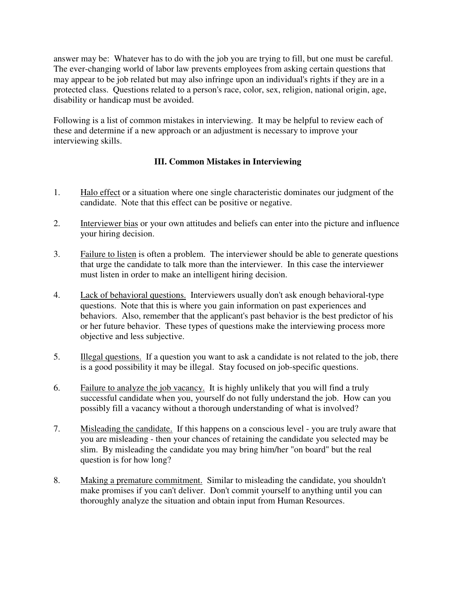answer may be: Whatever has to do with the job you are trying to fill, but one must be careful. The ever-changing world of labor law prevents employees from asking certain questions that may appear to be job related but may also infringe upon an individual's rights if they are in a protected class. Questions related to a person's race, color, sex, religion, national origin, age, disability or handicap must be avoided.

Following is a list of common mistakes in interviewing. It may be helpful to review each of these and determine if a new approach or an adjustment is necessary to improve your interviewing skills.

# **III. Common Mistakes in Interviewing**

- 1. Halo effect or a situation where one single characteristic dominates our judgment of the candidate. Note that this effect can be positive or negative.
- 2. Interviewer bias or your own attitudes and beliefs can enter into the picture and influence your hiring decision.
- 3. Failure to listen is often a problem. The interviewer should be able to generate questions that urge the candidate to talk more than the interviewer. In this case the interviewer must listen in order to make an intelligent hiring decision.
- 4. Lack of behavioral questions. Interviewers usually don't ask enough behavioral-type questions. Note that this is where you gain information on past experiences and behaviors. Also, remember that the applicant's past behavior is the best predictor of his or her future behavior. These types of questions make the interviewing process more objective and less subjective.
- 5. Illegal questions. If a question you want to ask a candidate is not related to the job, there is a good possibility it may be illegal. Stay focused on job-specific questions.
- 6. Failure to analyze the job vacancy. It is highly unlikely that you will find a truly successful candidate when you, yourself do not fully understand the job. How can you possibly fill a vacancy without a thorough understanding of what is involved?
- 7. Misleading the candidate. If this happens on a conscious level you are truly aware that you are misleading - then your chances of retaining the candidate you selected may be slim. By misleading the candidate you may bring him/her "on board" but the real question is for how long?
- 8. Making a premature commitment. Similar to misleading the candidate, you shouldn't make promises if you can't deliver. Don't commit yourself to anything until you can thoroughly analyze the situation and obtain input from Human Resources.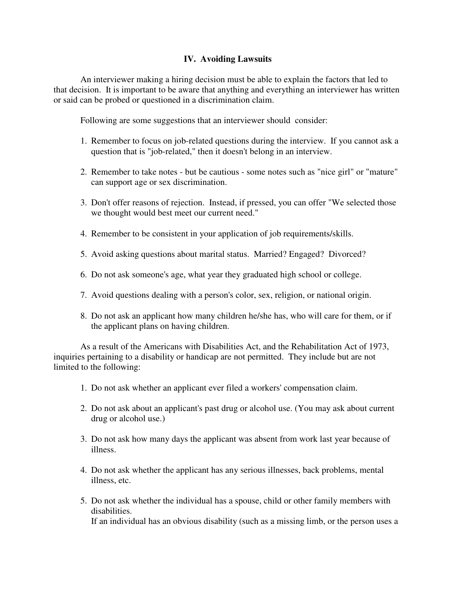### **IV. Avoiding Lawsuits**

An interviewer making a hiring decision must be able to explain the factors that led to that decision. It is important to be aware that anything and everything an interviewer has written or said can be probed or questioned in a discrimination claim.

Following are some suggestions that an interviewer should consider:

- 1. Remember to focus on job-related questions during the interview. If you cannot ask a question that is "job-related," then it doesn't belong in an interview.
- 2. Remember to take notes but be cautious some notes such as "nice girl" or "mature" can support age or sex discrimination.
- 3. Don't offer reasons of rejection. Instead, if pressed, you can offer "We selected those we thought would best meet our current need."
- 4. Remember to be consistent in your application of job requirements/skills.
- 5. Avoid asking questions about marital status. Married? Engaged? Divorced?
- 6. Do not ask someone's age, what year they graduated high school or college.
- 7. Avoid questions dealing with a person's color, sex, religion, or national origin.
- 8. Do not ask an applicant how many children he/she has, who will care for them, or if the applicant plans on having children.

As a result of the Americans with Disabilities Act, and the Rehabilitation Act of 1973, inquiries pertaining to a disability or handicap are not permitted. They include but are not limited to the following:

- 1. Do not ask whether an applicant ever filed a workers' compensation claim.
- 2. Do not ask about an applicant's past drug or alcohol use. (You may ask about current drug or alcohol use.)
- 3. Do not ask how many days the applicant was absent from work last year because of illness.
- 4. Do not ask whether the applicant has any serious illnesses, back problems, mental illness, etc.
- 5. Do not ask whether the individual has a spouse, child or other family members with disabilities. If an individual has an obvious disability (such as a missing limb, or the person uses a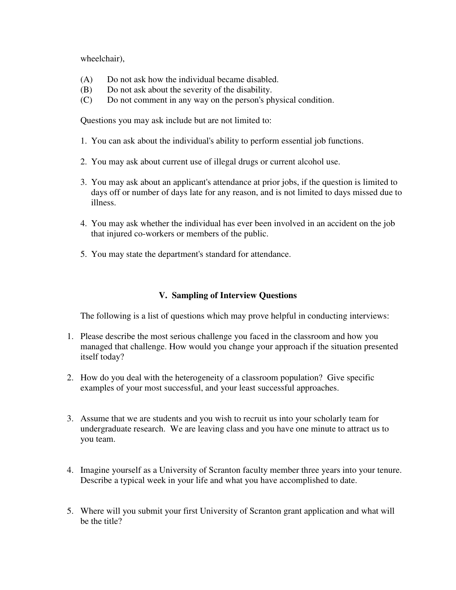wheelchair),

- (A) Do not ask how the individual became disabled.
- (B) Do not ask about the severity of the disability.
- (C) Do not comment in any way on the person's physical condition.

Questions you may ask include but are not limited to:

- 1. You can ask about the individual's ability to perform essential job functions.
- 2. You may ask about current use of illegal drugs or current alcohol use.
- 3. You may ask about an applicant's attendance at prior jobs, if the question is limited to days off or number of days late for any reason, and is not limited to days missed due to illness.
- 4. You may ask whether the individual has ever been involved in an accident on the job that injured co-workers or members of the public.
- 5. You may state the department's standard for attendance.

## **V. Sampling of Interview Questions**

The following is a list of questions which may prove helpful in conducting interviews:

- 1. Please describe the most serious challenge you faced in the classroom and how you managed that challenge. How would you change your approach if the situation presented itself today?
- 2. How do you deal with the heterogeneity of a classroom population? Give specific examples of your most successful, and your least successful approaches.
- 3. Assume that we are students and you wish to recruit us into your scholarly team for undergraduate research. We are leaving class and you have one minute to attract us to you team.
- 4. Imagine yourself as a University of Scranton faculty member three years into your tenure. Describe a typical week in your life and what you have accomplished to date.
- 5. Where will you submit your first University of Scranton grant application and what will be the title?